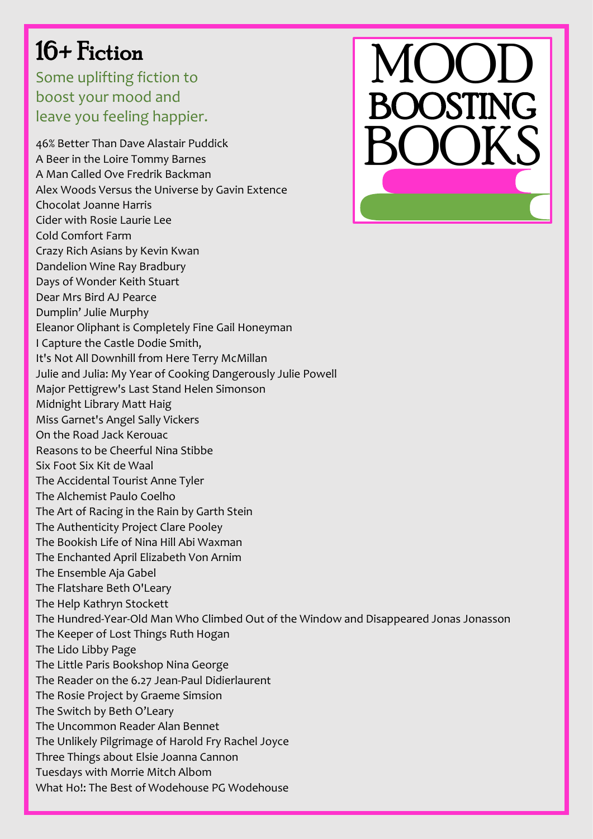## 16+ Fiction

Some uplifting fiction to boost your mood and leave you feeling happier.



46% Better Than Dave Alastair Puddick A Beer in the Loire Tommy Barnes A Man Called Ove Fredrik Backman Alex Woods Versus the Universe by Gavin Extence Chocolat Joanne Harris Cider with Rosie Laurie Lee Cold Comfort Farm Crazy Rich Asians by Kevin Kwan Dandelion Wine Ray Bradbury Days of Wonder Keith Stuart Dear Mrs Bird AJ Pearce Dumplin' Julie Murphy Eleanor Oliphant is Completely Fine Gail Honeyman I Capture the Castle Dodie Smith, It's Not All Downhill from Here Terry McMillan Julie and Julia: My Year of Cooking Dangerously Julie Powell Major Pettigrew's Last Stand Helen Simonson Midnight Library Matt Haig Miss Garnet's Angel Sally Vickers On the Road Jack Kerouac Reasons to be Cheerful Nina Stibbe Six Foot Six Kit de Waal The Accidental Tourist Anne Tyler The Alchemist Paulo Coelho The Art of Racing in the Rain by Garth Stein The Authenticity Project Clare Pooley The Bookish Life of Nina Hill Abi Waxman The Enchanted April Elizabeth Von Arnim [The Ensemble](http://www.amazon.com/gp/product/0735214778/ref=as_li_tf_il?ie=UTF8&tag=boorio-20&linkCode=as2&camp=217145&creative=399349&creativeASIN=0735214778) Aja Gabel The Flatshare Beth O'Leary The Help Kathryn Stockett The Hundred-Year-Old Man Who Climbed Out of the Window and Disappeared Jonas Jonasson The Keeper of Lost Things Ruth Hogan The Lido Libby Page The Little Paris Bookshop Nina George The Reader on the 6.27 Jean-Paul Didierlaurent The Rosie Project by Graeme Simsion The Switch by Beth O'Leary The Uncommon Reader Alan Bennet The Unlikely Pilgrimage of Harold Fry Rachel Joyce Three Things about Elsie Joanna Cannon Tuesdays with Morrie Mitch Albom What Ho!: The Best of Wodehouse PG Wodehouse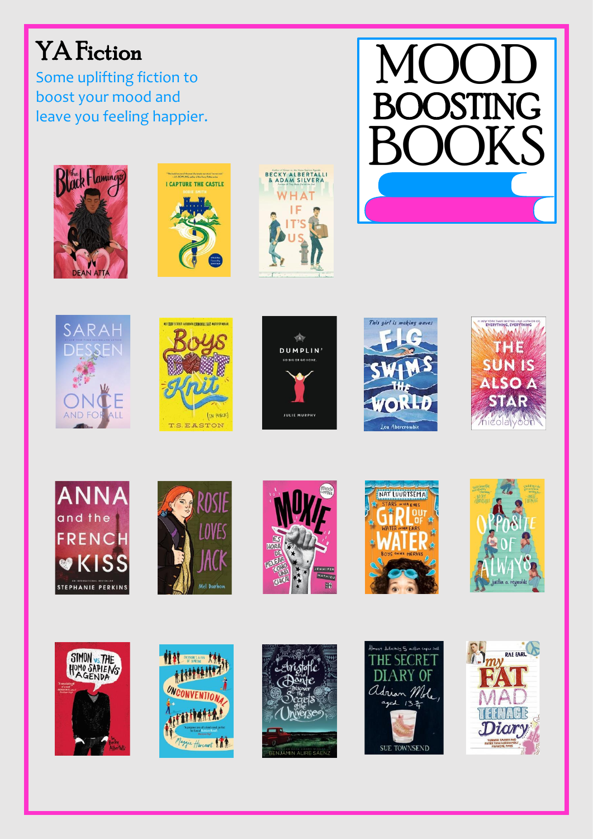## YA Fiction

Some uplifting fiction t o boost your mood and leave you feeling happier .